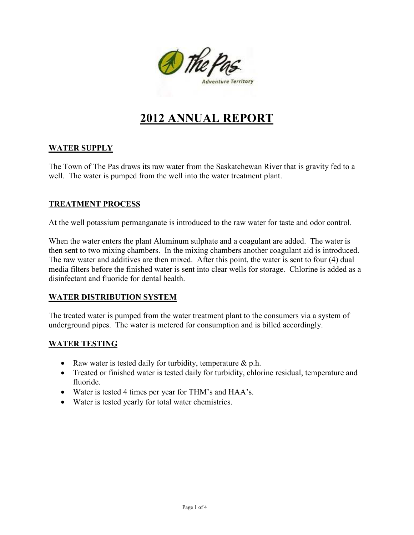

# **2012 ANNUAL REPORT**

## **WATER SUPPLY**

The Town of The Pas draws its raw water from the Saskatchewan River that is gravity fed to a well. The water is pumped from the well into the water treatment plant.

## **TREATMENT PROCESS**

At the well potassium permanganate is introduced to the raw water for taste and odor control.

When the water enters the plant Aluminum sulphate and a coagulant are added. The water is then sent to two mixing chambers. In the mixing chambers another coagulant aid is introduced. The raw water and additives are then mixed. After this point, the water is sent to four (4) dual media filters before the finished water is sent into clear wells for storage. Chlorine is added as a disinfectant and fluoride for dental health.

## **WATER DISTRIBUTION SYSTEM**

The treated water is pumped from the water treatment plant to the consumers via a system of underground pipes. The water is metered for consumption and is billed accordingly.

## **WATER TESTING**

- Raw water is tested daily for turbidity, temperature  $\&$  p.h.
- Treated or finished water is tested daily for turbidity, chlorine residual, temperature and fluoride.
- Water is tested 4 times per year for THM's and HAA's.
- Water is tested yearly for total water chemistries.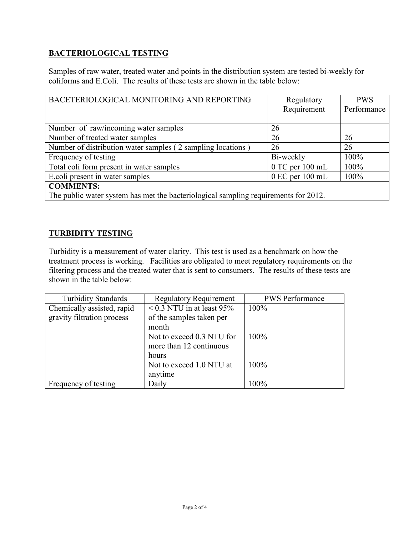# **BACTERIOLOGICAL TESTING**

Samples of raw water, treated water and points in the distribution system are tested bi-weekly for coliforms and E.Coli. The results of these tests are shown in the table below:

| BACETERIOLOGICAL MONITORING AND REPORTING                                           | Regulatory          | <b>PWS</b>  |  |  |
|-------------------------------------------------------------------------------------|---------------------|-------------|--|--|
|                                                                                     | Requirement         | Performance |  |  |
|                                                                                     |                     |             |  |  |
| Number of raw/incoming water samples                                                | 26                  |             |  |  |
| Number of treated water samples                                                     | 26                  | 26          |  |  |
| Number of distribution water samples (2 sampling locations)                         | 26                  | 26          |  |  |
| Frequency of testing                                                                | Bi-weekly           | 100%        |  |  |
| Total coli form present in water samples                                            | $0$ TC per $100$ mL | 100%        |  |  |
| E.coli present in water samples                                                     | $0$ EC per $100$ mL | 100%        |  |  |
| <b>COMMENTS:</b>                                                                    |                     |             |  |  |
| The public water system has met the bacteriological sampling requirements for 2012. |                     |             |  |  |

## **TURBIDITY TESTING**

Turbidity is a measurement of water clarity. This test is used as a benchmark on how the treatment process is working. Facilities are obligated to meet regulatory requirements on the filtering process and the treated water that is sent to consumers. The results of these tests are shown in the table below:

| <b>Turbidity Standards</b> | <b>Regulatory Requirement</b> | <b>PWS</b> Performance |
|----------------------------|-------------------------------|------------------------|
| Chemically assisted, rapid | $< 0.3$ NTU in at least 95%   | $100\%$                |
| gravity filtration process | of the samples taken per      |                        |
|                            | month                         |                        |
|                            | Not to exceed 0.3 NTU for     | 100%                   |
|                            | more than 12 continuous       |                        |
|                            | hours                         |                        |
|                            | Not to exceed 1.0 NTU at      | 100%                   |
|                            | anytime                       |                        |
| Frequency of testing       | Daily                         | 100%                   |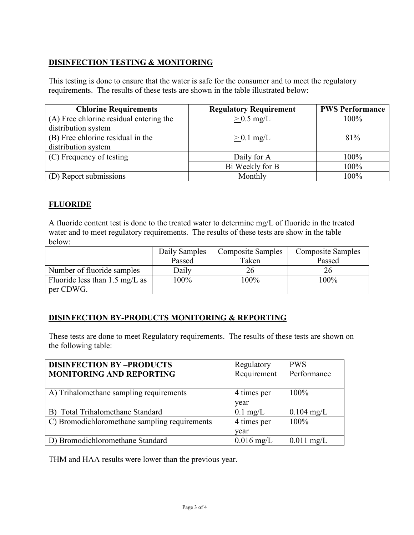## **DISINFECTION TESTING & MONITORING**

This testing is done to ensure that the water is safe for the consumer and to meet the regulatory requirements. The results of these tests are shown in the table illustrated below:

| <b>Chlorine Requirements</b>            | <b>Regulatory Requirement</b> | <b>PWS Performance</b> |
|-----------------------------------------|-------------------------------|------------------------|
| (A) Free chlorine residual entering the | $> 0.5$ mg/L                  | $100\%$                |
| distribution system                     |                               |                        |
| (B) Free chlorine residual in the       | $> 0.1$ mg/L                  | 81%                    |
| distribution system                     |                               |                        |
| (C) Frequency of testing                | Daily for A                   | 100%                   |
|                                         | Bi Weekly for B               | 100%                   |
| (D) Report submissions                  | Monthly                       | 100%                   |

## **FLUORIDE**

A fluoride content test is done to the treated water to determine mg/L of fluoride in the treated water and to meet regulatory requirements. The results of these tests are show in the table below:

|                                                       | Daily Samples | <b>Composite Samples</b> | <b>Composite Samples</b> |
|-------------------------------------------------------|---------------|--------------------------|--------------------------|
|                                                       | Passed        | Taken                    | Passed                   |
| Number of fluoride samples                            | Daily         | 26                       |                          |
| Fluoride less than $1.5 \text{ mg/L}$ as<br>per CDWG. | 100%          | 100%                     | 100%                     |

## **DISINFECTION BY-PRODUCTS MONITORING & REPORTING**

These tests are done to meet Regulatory requirements. The results of these tests are shown on the following table:

| <b>DISINFECTION BY-PRODUCTS</b>               | Regulatory         | <b>PWS</b>           |
|-----------------------------------------------|--------------------|----------------------|
| <b>MONITORING AND REPORTING</b>               | Requirement        | Performance          |
|                                               |                    |                      |
| A) Trihalomethane sampling requirements       | 4 times per        | $100\%$              |
|                                               | year               |                      |
| B) Total Trihalomethane Standard              | $0.1 \text{ mg/L}$ | $0.104 \text{ mg/L}$ |
| C) Bromodichloromethane sampling requirements | 4 times per        | $100\%$              |
|                                               | year               |                      |
| D) Bromodichloromethane Standard              | $0.016$ mg/L       | $0.011$ mg/L         |

THM and HAA results were lower than the previous year.